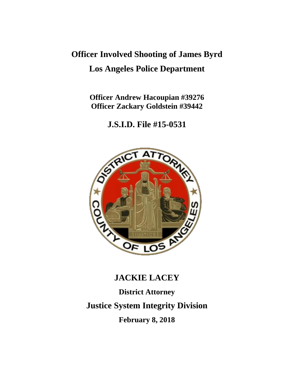# **Officer Involved Shooting of James Byrd Los Angeles Police Department**

**Officer Andrew Hacoupian #39276 Officer Zackary Goldstein #39442**

**J.S.I.D. File #15-0531**



# **JACKIE LACEY**

**District Attorney Justice System Integrity Division February 8, 2018**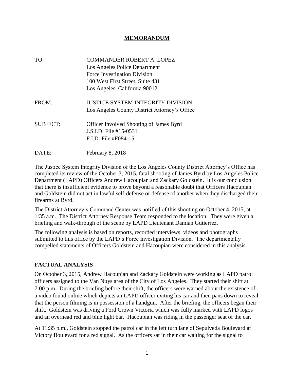### **MEMORANDUM**

| TO:             | <b>COMMANDER ROBERT A. LOPEZ</b><br>Los Angeles Police Department<br>Force Investigation Division<br>100 West First Street, Suite 431<br>Los Angeles, California 90012 |
|-----------------|------------------------------------------------------------------------------------------------------------------------------------------------------------------------|
| FROM:           | <b>JUSTICE SYSTEM INTEGRITY DIVISION</b><br>Los Angeles County District Attorney's Office                                                                              |
| <b>SUBJECT:</b> | <b>Officer Involved Shooting of James Byrd</b><br>J.S.I.D. File #15-0531<br>$F.I.D.$ File #F084-15                                                                     |
| DATE:           | February 8, 2018                                                                                                                                                       |

The Justice System Integrity Division of the Los Angeles County District Attorney's Office has completed its review of the October 3, 2015, fatal shooting of James Byrd by Los Angeles Police Department (LAPD) Officers Andrew Hacoupian and Zackary Goldstein. It is our conclusion that there is insufficient evidence to prove beyond a reasonable doubt that Officers Hacoupian and Goldstein did not act in lawful self-defense or defense of another when they discharged their firearms at Byrd.

The District Attorney's Command Center was notified of this shooting on October 4, 2015, at 1:35 a.m. The District Attorney Response Team responded to the location. They were given a briefing and walk-through of the scene by LAPD Lieutenant Damian Gutierrez.

The following analysis is based on reports, recorded interviews, videos and photographs submitted to this office by the LAPD's Force Investigation Division. The departmentally compelled statements of Officers Goldstein and Hacoupian were considered in this analysis.

#### **FACTUAL ANALYSIS**

On October 3, 2015, Andrew Hacoupian and Zackary Goldstein were working as LAPD patrol officers assigned to the Van Nuys area of the City of Los Angeles. They started their shift at 7:00 p.m. During the briefing before their shift, the officers were warned about the existence of a video found online which depicts an LAPD officer exiting his car and then pans down to reveal that the person filming is in possession of a handgun. After the briefing, the officers began their shift. Goldstein was driving a Ford Crown Victoria which was fully marked with LAPD logos and an overhead red and blue light bar. Hacoupian was riding in the passenger seat of the car.

At 11:35 p.m., Goldstein stopped the patrol car in the left turn lane of Sepulveda Boulevard at Victory Boulevard for a red signal. As the officers sat in their car waiting for the signal to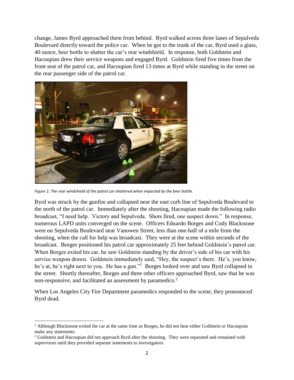change, James Byrd approached them from behind. Byrd walked across three lanes of Sepulveda Boulevard directly toward the police car. When he got to the trunk of the car, Byrd used a glass, 40 ounce, beer bottle to shatter the car's rear windshield. In response, both Goldstein and Hacoupian drew their service weapons and engaged Byrd. Goldstein fired five times from the front seat of the patrol car, and Hacoupian fired 13 times at Byrd while standing in the street on the rear passenger side of the patrol car.



*Figure 1: The rear windshield of the patrol car shattered when impacted by the beer bottle.*

 $\overline{\phantom{a}}$ 

Byrd was struck by the gunfire and collapsed near the east curb line of Sepulveda Boulevard to the north of the patrol car. Immediately after the shooting, Hacoupian made the following radio broadcast, "I need help. Victory and Sepulveda. Shots fired, one suspect down." In response, numerous LAPD units converged on the scene. Officers Eduardo Borges and Cody Blackstone were on Sepulveda Boulevard near Vanowen Street, less than one-half of a mile from the shooting, when the call for help was broadcast. They were at the scene within seconds of the broadcast. Borges positioned his patrol car approximately 25 feet behind Goldstein's patrol car. When Borges exited his car, he saw Goldstein standing by the driver's side of his car with his service weapon drawn. Goldstein immediately said, "Hey, the suspect's there. He's, you know, he's at, he's right next to you. He has a gun."<sup>1</sup> Borges looked over and saw Byrd collapsed in the street. Shortly thereafter, Borges and three other officers approached Byrd, saw that he was non-responsive, and facilitated an assessment by paramedics.<sup>2</sup>

When Los Angeles City Fire Department paramedics responded to the scene, they pronounced Byrd dead.

 $<sup>1</sup>$  Although Blackstone exited the car at the same time as Borges, he did not hear either Goldstein or Hacoupian</sup> make any statements.

 $2$  Goldstein and Hacoupian did not approach Byrd after the shooting. They were separated and remained with supervisors until they provided separate statements to investigators.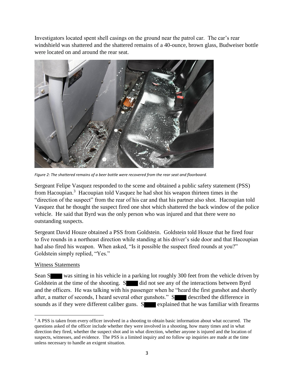Investigators located spent shell casings on the ground near the patrol car. The car's rear windshield was shattered and the shattered remains of a 40-ounce, brown glass, Budweiser bottle were located on and around the rear seat.



*Figure 2: The shattered remains of a beer bottle were recovered from the rear seat and floorboard.*

Sergeant Felipe Vasquez responded to the scene and obtained a public safety statement (PSS) from Hacoupian.<sup>3</sup> Hacoupian told Vasquez he had shot his weapon thirteen times in the "direction of the suspect" from the rear of his car and that his partner also shot. Hacoupian told Vasquez that he thought the suspect fired one shot which shattered the back window of the police vehicle. He said that Byrd was the only person who was injured and that there were no outstanding suspects.

Sergeant David Houze obtained a PSS from Goldstein. Goldstein told Houze that he fired four to five rounds in a northeast direction while standing at his driver's side door and that Hacoupian had also fired his weapon. When asked, "Is it possible the suspect fired rounds at you?" Goldstein simply replied, "Yes."

# Witness Statements

Sean S was sitting in his vehicle in a parking lot roughly 300 feet from the vehicle driven by Goldstein at the time of the shooting. S did not see any of the interactions between Byrd and the officers. He was talking with his passenger when he "heard the first gunshot and shortly after, a matter of seconds, I heard several other gunshots." S<br>described the difference in sounds as if they were different caliber guns.  $S$  explained that he was familiar with firearms

 $\overline{a}$ <sup>3</sup> A PSS is taken from every officer involved in a shooting to obtain basic information about what occurred. The questions asked of the officer include whether they were involved in a shooting, how many times and in what direction they fired, whether the suspect shot and in what direction, whether anyone is injured and the location of suspects, witnesses, and evidence. The PSS is a limited inquiry and no follow up inquiries are made at the time unless necessary to handle an exigent situation.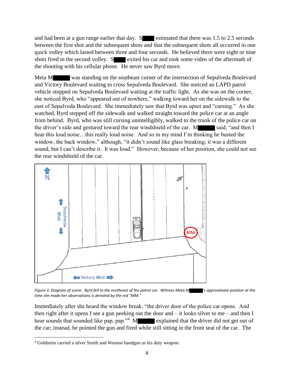and had been at a gun range earlier that day.  $S$  estimated that there was 1.5 to 2.5 seconds between the first shot and the subsequent shots and that the subsequent shots all occurred in one quick volley which lasted between three and four seconds. He believed there were eight or nine shots fired in the second volley.  $S$  exited his car and took some video of the aftermath of the shooting with his cellular phone. He never saw Byrd move.

Meta M was standing on the southeast corner of the intersection of Sepulveda Boulevard and Victory Boulevard waiting to cross Sepulveda Boulevard. She noticed an LAPD patrol vehicle stopped on Sepulveda Boulevard waiting at the traffic light. As she was on the corner, she noticed Byrd, who "appeared out of nowhere," walking toward her on the sidewalk to the east of Sepulveda Boulevard. She immediately saw that Byrd was upset and "cursing." As she watched, Byrd stepped off the sidewalk and walked straight toward the police car at an angle from behind. Byrd, who was still cursing unintelligibly, walked to the trunk of the police car on the driver's side and gestured toward the rear windshield of the car. M said, "and then I hear this loud noise...this really loud noise. And so in my mind I'm thinking he busted the window, the back window," although, "it didn't sound like glass breaking; it was a different sound, but I can't describe it. It was loud." However, because of her position, she could not see the rear windshield of the car.



*Figure 3: Diagram of scene. Byrd fell to the northeast of the patrol car. Witness Meta M 's approximate position at the time she made her observations is denoted by the red "MM."*

Immediately after she heard the window break, "the driver door of the police car opens. And then right after it opens I see a gun peeking out the door and – it looks silver to me – and then I hear sounds that sounded like pap, pap."<sup>4</sup> M explained that the driver did not get out of the car; instead, he pointed the gun and fired while still sitting in the front seat of the car. The

 $\overline{\phantom{a}}$ <sup>4</sup> Goldstein carried a silver Smith and Wesson handgun as his duty weapon.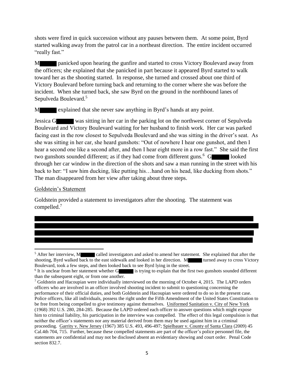shots were fired in quick succession without any pauses between them. At some point, Byrd started walking away from the patrol car in a northeast direction. The entire incident occurred "really fast."

M panicked upon hearing the gunfire and started to cross Victory Boulevard away from the officers; she explained that she panicked in part because it appeared Byrd started to walk toward her as the shooting started. In response, she turned and crossed about one third of Victory Boulevard before turning back and returning to the corner where she was before the incident. When she turned back, she saw Byrd on the ground in the northbound lanes of Sepulveda Boulevard.<sup>5</sup>

M explained that she never saw anything in Byrd's hands at any point.

Jessica G was sitting in her car in the parking lot on the northwest corner of Sepulveda Boulevard and Victory Boulevard waiting for her husband to finish work. Her car was parked facing east in the row closest to Sepulveda Boulevard and she was sitting in the driver's seat. As she was sitting in her car, she heard gunshots: "Out of nowhere I hear one gunshot, and then I hear a second one like a second after, and then I hear eight more in a row fast." She said the first two gunshots sounded different; as if they had come from different guns.<sup>6</sup> G looked through her car window in the direction of the shots and saw a man running in the street with his back to her: "I saw him ducking, like putting his... hand on his head, like ducking from shots." The man disappeared from her view after taking about three steps.

Goldstein's Statement

 $\overline{\phantom{a}}$ 

Goldstein provided a statement to investigators after the shooting. The statement was compelled.<sup>7</sup>

<sup>&</sup>lt;sup>5</sup> After her interview, M called investigators and asked to amend her statement. She explained that after the shooting, Byrd walked back to the east sidewalk and looked in her direction. M turned away to cross Victory Boulevard, took a few steps, and then looked back to see Byrd lying in the street.

<sup>&</sup>lt;sup>6</sup> It is unclear from her statement whether G is trying to explain that the first two gunshots sounded different than the subsequent eight, or from one another.

 $7$  Goldstein and Hacoupian were individually interviewed on the morning of October 4, 2015. The LAPD orders officers who are involved in an officer involved shooting incident to submit to questioning concerning the performance of their official duties, and both Goldstein and Hacoupian were ordered to do so in the present case. Police officers, like all individuals, possess the right under the Fifth Amendment of the United States Constitution to be free from being compelled to give testimony against themselves. Uniformed Sanitation v. City of New York (1968) 392 U.S. 280*,* 284-285. Because the LAPD ordered each officer to answer questions which might expose him to criminal liability, his participation in the interview was compelled. The effect of this legal compulsion is that neither the officer's statements nor any material derived from them may be used against him in a criminal proceeding. Garrity v. New Jersey (1967) 385 U.S. 493, 496-497; Spielbauer v. County of Santa Clara (2009) 45 Cal.4th 704, 715. Further, because these compelled statements are part of the officer's police personnel file, the statements are confidential and may not be disclosed absent an evidentiary showing and court order. Penal Code section 832.7.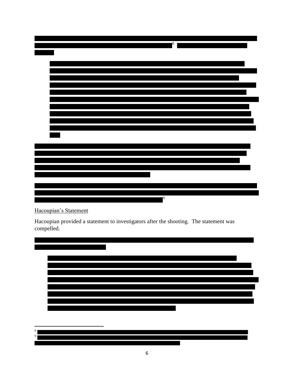| 8 |
|---|
|   |
|   |
|   |
|   |
|   |
|   |
|   |
|   |
|   |
|   |
|   |
|   |
|   |
|   |
|   |
|   |
|   |
| 9 |
|   |

Hacoupian's Statement

Hacoupian provided a statement to investigators after the shooting. The statement was compelled.



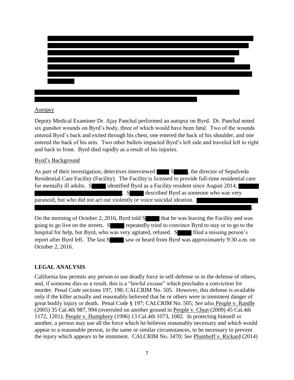### Autopsy

Deputy Medical Examiner Dr. Ajay Panchal performed an autopsy on Byrd. Dr. Panchal noted six gunshot wounds on Byrd's body, three of which would have been fatal. Two of the wounds entered Byrd's back and exited through his chest, one entered the back of his shoulder, and one entered the back of his arm. Two other bullets impacted Byrd's left side and traveled left to right and back to front. Byrd died rapidly as a result of his injuries.

### Byrd's Background

As part of their investigation, detectives interviewed S sepulved S, the director of Sepulveda Residential Care Facility (Facility). The Facility is licensed to provide full-time residential care for mentally ill adults. S identified Byrd as a Facility resident since August 2014, . S described Byrd as someone who was very paranoid, but who did not act out violently or voice suicidal ideation. .

On the morning of October 2, 2016, Byrd told  $S$  that he was leaving the Facility and was going to go live on the streets. S repeatedly tried to convince Byrd to stay or to go to the hospital for help, but Byrd, who was very agitated, refused. S<br>filed a missing person's report after Byrd left. The last  $S$  saw or heard from Byrd was approximately 9:30 a.m. on October 2, 2016.

# **LEGAL ANALYSIS**

California law permits any person to use deadly force in self-defense or in the defense of others, and, if someone dies as a result, this is a "lawful excuse" which precludes a conviction for murder. Penal Code sections 197, 198; CALCRIM No. 505. However, this defense is available only if the killer actually and reasonably believed that he or others were in imminent danger of great bodily injury or death. Penal Code § 197; CALCRIM No. 505; *See also* People v. Randle (2005) 35 Cal.4th 987, 994 (overruled on another ground in People v. Chun (2009) 45 Cal.4th 1172, 1201); People v. Humphrey (1996) 13 Cal.4th 1073, 1082. In protecting himself or another, a person may use all the force which he believes reasonably necessary and which would appear to a reasonable person, in the same or similar circumstances, to be necessary to prevent the injury which appears to be imminent. CALCRIM No. 3470; *See* Plumhoff v. Rickard (2014)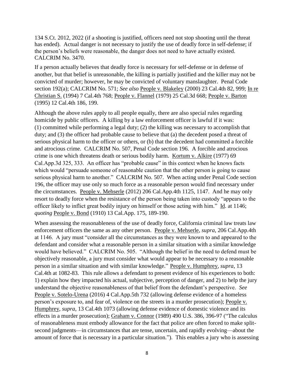134 S.Ct. 2012, 2022 (if a shooting is justified, officers need not stop shooting until the threat has ended). Actual danger is not necessary to justify the use of deadly force in self-defense; if the person's beliefs were reasonable, the danger does not need to have actually existed. CALCRIM No. 3470.

If a person actually believes that deadly force is necessary for self-defense or in defense of another, but that belief is unreasonable, the killing is partially justified and the killer may not be convicted of murder; however, he may be convicted of voluntary manslaughter. Penal Code section 192(a); CALCRIM No. 571; *See also* People v. Blakeley (2000) 23 Cal.4th 82, 999; In re Christian S. (1994) 7 Cal.4th 768; People v. Flannel (1979) [25 Cal.3d 668;](https://advance.lexis.com/document/?pdmfid=1000516&crid=d3600717-fdcf-48b7-9a54-5fb4c3353e94&pddocfullpath=%2Fshared%2Fdocument%2Fcases%2Furn%3AcontentItem%3A40D6-DFX0-0039-40HM-00000-00&pddocid=urn%3AcontentItem%3A40D6-DFX0-0039-40HM-00000-00&pdcontentcomponentid=4861&pdshepid=urn%3AcontentItem%3A7XWN-0BW1-2NSF-C26S-00000-00&pdshepcat=initial&pdteaserkey=sr0&ecomp=7nLhk&earg=sr0&prid=cba5ac8f-eea4-4160-8ba0-4c55500857d4) People v. Barton (1995) 12 Cal.4th 186, 199.

Although the above rules apply to all people equally, there are also special rules regarding homicide by public officers. A killing by a law enforcement officer is lawful if it was: (1) committed while performing a legal duty; (2) the killing was necessary to accomplish that duty; and (3) the officer had probable cause to believe that (a) the decedent posed a threat of serious physical harm to the officer or others, or (b) that the decedent had committed a forcible and atrocious crime. CALCRIM No. 507, Penal Code section 196. A forcible and atrocious crime is one which threatens death or serious bodily harm. Kortum v. Alkire (1977) 69 Cal.App.3d 325, 333. An officer has "probable cause" in this context when he knows facts which would "persuade someone of reasonable caution that the other person is going to cause serious physical harm to another." CALCRIM No. 507. When acting under Penal Code section 196, the officer may use only so much force as a reasonable person would find necessary under the circumstances. People v. Mehserle (2012) 206 Cal.App.4th 1125, 1147. And he may only resort to deadly force when the resistance of the person being taken into custody "appears to the officer likely to inflict great bodily injury on himself or those acting with him." Id. at 1146; *quoting* People v. Bond (1910) 13 Cal.App. 175, 189-190.

When assessing the reasonableness of the use of deadly force, California criminal law treats law enforcement officers the same as any other person. People v. Mehserle, *supra*, 206 Cal.App.4th at 1146. A jury must "consider all the circumstances as they were known to and appeared to the defendant and consider what a reasonable person in a similar situation with a similar knowledge would have believed." CALCRIM No. 505. "Although the belief in the need to defend must be objectively reasonable, a jury must consider what would appear to be necessary to a reasonable person in a similar situation and with similar knowledge." People v. Humphrey, *supra*, 13 Cal.4th at 1082-83. This rule allows a defendant to present evidence of his experiences to both: 1) explain how they impacted his actual, subjective, perception of danger, and 2) to help the jury understand the objective reasonableness of that belief from the defendant's perspective. *See* People v. Sotelo-Urena (2016) 4 Cal.App.5th 732 (allowing defense evidence of a homeless person's exposure to, and fear of, violence on the streets in a murder prosecution); People v. Humphrey, *supra*, 13 Cal.4th 1073 (allowing defense evidence of domestic violence and its effects in a murder prosecution); Graham v. Connor (1989) 490 U.S. 386, 396-97 ("The calculus of reasonableness must embody allowance for the fact that police are often forced to make splitsecond judgments—in circumstances that are tense, uncertain, and rapidly evolving—about the amount of force that is necessary in a particular situation."). This enables a jury who is assessing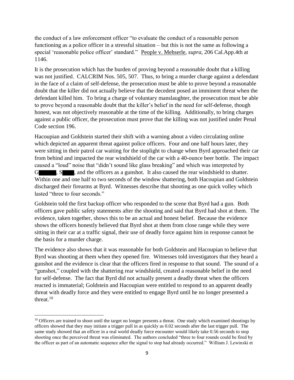the conduct of a law enforcement officer "to evaluate the conduct of a reasonable person functioning as a police officer in a stressful situation – but this is not the same as following a special 'reasonable police officer' standard." People v. Mehserle, *supra*, 206 Cal.App.4th at 1146.

It is the prosecution which has the burden of proving beyond a reasonable doubt that a killing was not justified. CALCRIM Nos. 505, 507. Thus, to bring a murder charge against a defendant in the face of a claim of self-defense, the prosecution must be able to prove beyond a reasonable doubt that the killer did not actually believe that the decedent posed an imminent threat when the defendant killed him. To bring a charge of voluntary manslaughter, the prosecution must be able to prove beyond a reasonable doubt that the killer's belief in the need for self-defense, though honest, was not objectively reasonable at the time of the killing. Additionally, to bring charges against a public officer, the prosecution must prove that the killing was not justified under Penal Code section 196.

Hacoupian and Goldstein started their shift with a warning about a video circulating online which depicted an apparent threat against police officers. Four and one half hours later, they were sitting in their patrol car waiting for the stoplight to change when Byrd approached their car from behind and impacted the rear windshield of the car with a 40-ounce beer bottle. The impact caused a "loud" noise that "didn't sound like glass breaking" and which was interpreted by G , S , and the officers as a gunshot. It also caused the rear windshield to shatter. Within one and one half to two seconds of the window shattering, both Hacoupian and Goldstein discharged their firearms at Byrd. Witnesses describe that shooting as one quick volley which lasted "three to four seconds."

Goldstein told the first backup officer who responded to the scene that Byrd had a gun. Both officers gave public safety statements after the shooting and said that Byrd had shot at them. The evidence, taken together, shows this to be an actual and honest belief. Because the evidence shows the officers honestly believed that Byrd shot at them from close range while they were sitting in their car at a traffic signal, their use of deadly force against him in response cannot be the basis for a murder charge.

The evidence also shows that it was reasonable for both Goldstein and Hacoupian to believe that Byrd was shooting at them when they opened fire. Witnesses told investigators that they heard a gunshot and the evidence is clear that the officers fired in response to that sound. The sound of a "gunshot," coupled with the shattering rear windshield, created a reasonable belief in the need for self-defense. The fact that Byrd did not actually present a deadly threat when the officers reacted is immaterial; Goldstein and Hacoupian were entitled to respond to an apparent deadly threat with deadly force and they were entitled to engage Byrd until he no longer presented a threat. $10$ 

 $\overline{a}$  $10$  Officers are trained to shoot until the target no longer presents a threat. One study which examined shootings by officers showed that they may initiate a trigger pull in as quickly as 0.02 seconds after the last trigger pull. The same study showed that an officer in a real world deadly force encounter would likely take 0.56 seconds to stop shooting once the perceived threat was eliminated. The authors concluded "three to four rounds could be fired by the officer as part of an automatic sequence after the signal to stop had already occurred." William J. Lewinski et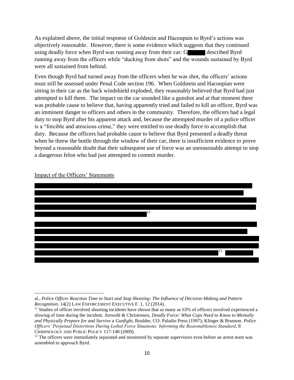As explained above, the initial response of Goldstein and Hacoupain to Byrd's actions was objectively reasonable. However, there is some evidence which suggests that they continued using deadly force when Byrd was running away from their car: G described Byrd running away from the officers while "ducking from shots" and the wounds sustained by Byrd were all sustained from behind.

Even though Byrd had turned away from the officers when he was shot, the officers' actions must still be assessed under Penal Code section 196. When Goldstein and Hacoupian were sitting in their car as the back windshield exploded, they reasonably believed that Byrd had just attempted to kill them. The impact on the car sounded like a gunshot and at that moment there was probable cause to believe that, having apparently tried and failed to kill an officer, Byrd was an imminent danger to officers and others in the community. Therefore, the officers had a legal duty to stop Byrd after his apparent attack and, because the attempted murder of a police officer is a "forcible and atrocious crime," they were entitled to use deadly force to accomplish that duty. Because the officers had probable cause to believe that Byrd presented a deadly threat when he threw the bottle through the window of their car, there is insufficient evidence to prove beyond a reasonable doubt that their subsequent use of force was an unreasonable attempt to stop a dangerous felon who had just attempted to commit murder.



Impact of the Officers' Statements

 $\overline{\phantom{a}}$ al., *Police Officer Reaction Time to Start and Stop Shooting: The Influence of Decision-Making and Pattern Recognition*, 14(2) LAW ENFORCEMENT EXECUTIVE F. 1, 12 (2014).

 $11$  Studies of officer involved shooting incidents have shown that as many as 63% of officers involved experienced a slowing of time during the incident. Artwohl & Christensen, *Deadly Force: What Cops Need to Know to Mentally and Physically Prepare for and Survive a Gunfight*, Boulder, CO: Paladin Press (1997); Klinger & Brunson*. Police Officers' Perpetual Distortions During Lethal Force Situations: Informing the Reasonableness Standard*, 8 CRIMINOLOGY AND PUBLIC POLICY 117-140 (2009).

 $12$  The officers were immediately separated and monitored by separate supervisors even before an arrest team was assembled to approach Byrd.